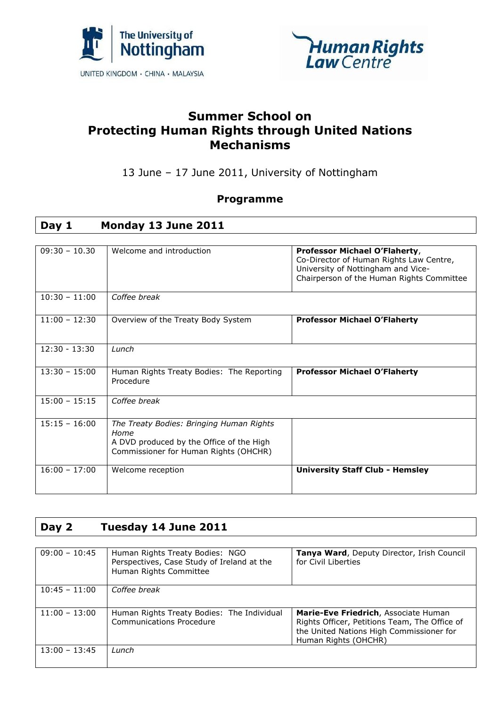



### **Summer School on Protecting Human Rights through United Nations Mechanisms**

13 June – 17 June 2011, University of Nottingham

#### **Programme**

### **Day 1 Monday 13 June 2011**

| $09:30 - 10.30$ | Welcome and introduction                                                                                                              | Professor Michael O'Flaherty,<br>Co-Director of Human Rights Law Centre,<br>University of Nottingham and Vice-<br>Chairperson of the Human Rights Committee |
|-----------------|---------------------------------------------------------------------------------------------------------------------------------------|-------------------------------------------------------------------------------------------------------------------------------------------------------------|
| $10:30 - 11:00$ | Coffee break                                                                                                                          |                                                                                                                                                             |
| $11:00 - 12:30$ | Overview of the Treaty Body System                                                                                                    | <b>Professor Michael O'Flaherty</b>                                                                                                                         |
| $12:30 - 13:30$ | Lunch                                                                                                                                 |                                                                                                                                                             |
| $13:30 - 15:00$ | Human Rights Treaty Bodies: The Reporting<br>Procedure                                                                                | <b>Professor Michael O'Flaherty</b>                                                                                                                         |
| $15:00 - 15:15$ | Coffee break                                                                                                                          |                                                                                                                                                             |
| $15:15 - 16:00$ | The Treaty Bodies: Bringing Human Rights<br>Home<br>A DVD produced by the Office of the High<br>Commissioner for Human Rights (OHCHR) |                                                                                                                                                             |
| $16:00 - 17:00$ | Welcome reception                                                                                                                     | <b>University Staff Club - Hemsley</b>                                                                                                                      |

#### **Day 2 Tuesday 14 June 2011**

| $09:00 - 10:45$ | Human Rights Treaty Bodies: NGO<br>Perspectives, Case Study of Ireland at the<br>Human Rights Committee | Tanya Ward, Deputy Director, Irish Council<br>for Civil Liberties                                                                                         |
|-----------------|---------------------------------------------------------------------------------------------------------|-----------------------------------------------------------------------------------------------------------------------------------------------------------|
| $10:45 - 11:00$ | Coffee break                                                                                            |                                                                                                                                                           |
| $11:00 - 13:00$ | Human Rights Treaty Bodies: The Individual<br><b>Communications Procedure</b>                           | Marie-Eve Friedrich, Associate Human<br>Rights Officer, Petitions Team, The Office of<br>the United Nations High Commissioner for<br>Human Rights (OHCHR) |
| $13:00 - 13:45$ | Lunch                                                                                                   |                                                                                                                                                           |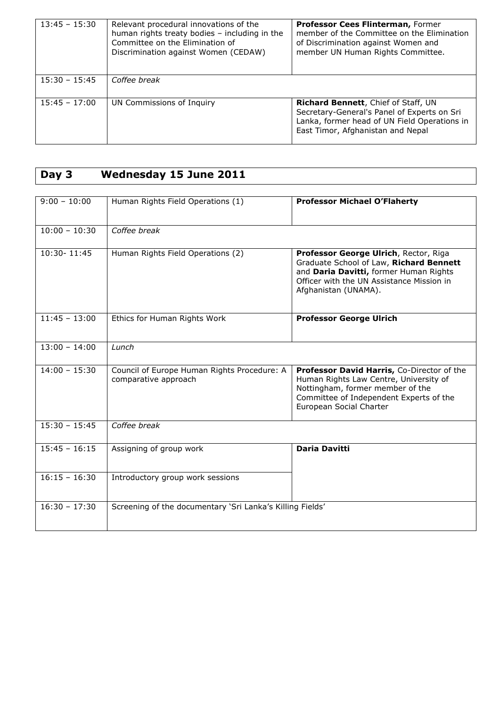| $13:45 - 15:30$ | Relevant procedural innovations of the<br>human rights treaty bodies - including in the<br>Committee on the Elimination of<br>Discrimination against Women (CEDAW) | <b>Professor Cees Flinterman, Former</b><br>member of the Committee on the Elimination<br>of Discrimination against Women and<br>member UN Human Rights Committee.      |
|-----------------|--------------------------------------------------------------------------------------------------------------------------------------------------------------------|-------------------------------------------------------------------------------------------------------------------------------------------------------------------------|
| $15:30 - 15:45$ | Coffee break                                                                                                                                                       |                                                                                                                                                                         |
| $15:45 - 17:00$ | UN Commissions of Inquiry                                                                                                                                          | Richard Bennett, Chief of Staff, UN<br>Secretary-General's Panel of Experts on Sri<br>Lanka, former head of UN Field Operations in<br>East Timor, Afghanistan and Nepal |

# **Day 3 Wednesday 15 June 2011**

| $9:00 - 10:00$  | Human Rights Field Operations (1)                                   | <b>Professor Michael O'Flaherty</b>                                                                                                                                                             |
|-----------------|---------------------------------------------------------------------|-------------------------------------------------------------------------------------------------------------------------------------------------------------------------------------------------|
| $10:00 - 10:30$ | Coffee break                                                        |                                                                                                                                                                                                 |
| 10:30-11:45     | Human Rights Field Operations (2)                                   | Professor George Ulrich, Rector, Riga<br>Graduate School of Law, Richard Bennett<br>and Daria Davitti, former Human Rights<br>Officer with the UN Assistance Mission in<br>Afghanistan (UNAMA). |
| $11:45 - 13:00$ | Ethics for Human Rights Work                                        | <b>Professor George Ulrich</b>                                                                                                                                                                  |
| $13:00 - 14:00$ | Lunch                                                               |                                                                                                                                                                                                 |
| $14:00 - 15:30$ | Council of Europe Human Rights Procedure: A<br>comparative approach | Professor David Harris, Co-Director of the<br>Human Rights Law Centre, University of<br>Nottingham, former member of the<br>Committee of Independent Experts of the<br>European Social Charter  |
| $15:30 - 15:45$ | Coffee break                                                        |                                                                                                                                                                                                 |
| $15:45 - 16:15$ | Assigning of group work                                             | <b>Daria Davitti</b>                                                                                                                                                                            |
| $16:15 - 16:30$ | Introductory group work sessions                                    |                                                                                                                                                                                                 |
| $16:30 - 17:30$ | Screening of the documentary 'Sri Lanka's Killing Fields'           |                                                                                                                                                                                                 |